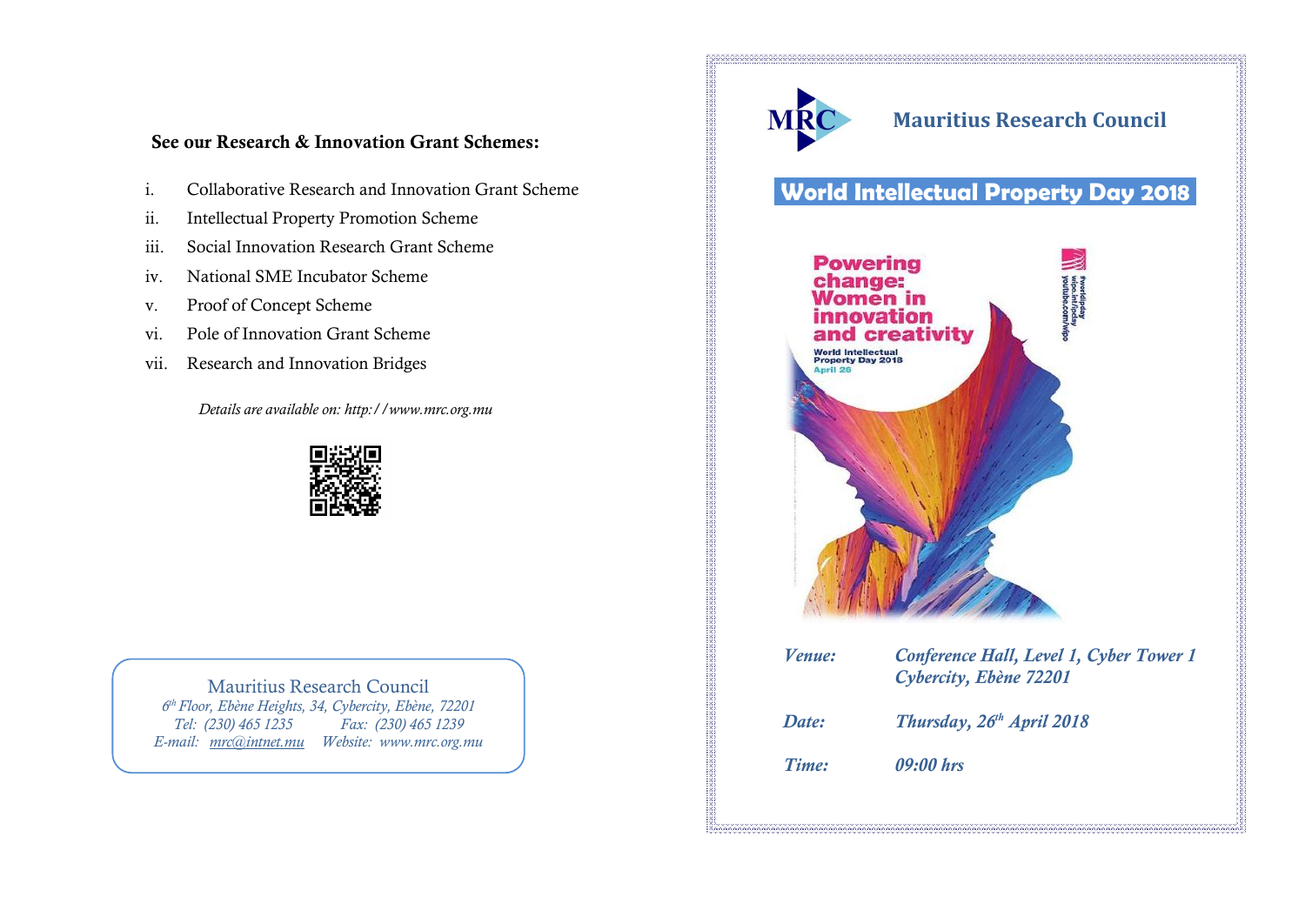## **See our Research & Innovation Grant Schemes:**

- i. Collaborative Research and Innovation Grant Scheme
- ii. Intellectual Property Promotion Scheme
- iii. Social Innovation Research Grant Scheme
- iv. National SME Incubator Scheme
- v. Proof of Concept Scheme
- vi. Pole of Innovation Grant Scheme
- vii. Research and Innovation Bridges

*Details are available on: http://www.mrc.org.mu*



#### Mauritius Research Council *6 th Floor, Ebène Heights, 34, Cybercity, Ebène, 72201 Tel: (230) 465 1235 Fax: (230) 465 1239*

*E-mail: [mrc@intnet.mu](mailto:mrc@intnet.mu) Website: www.mrc.org.mu*